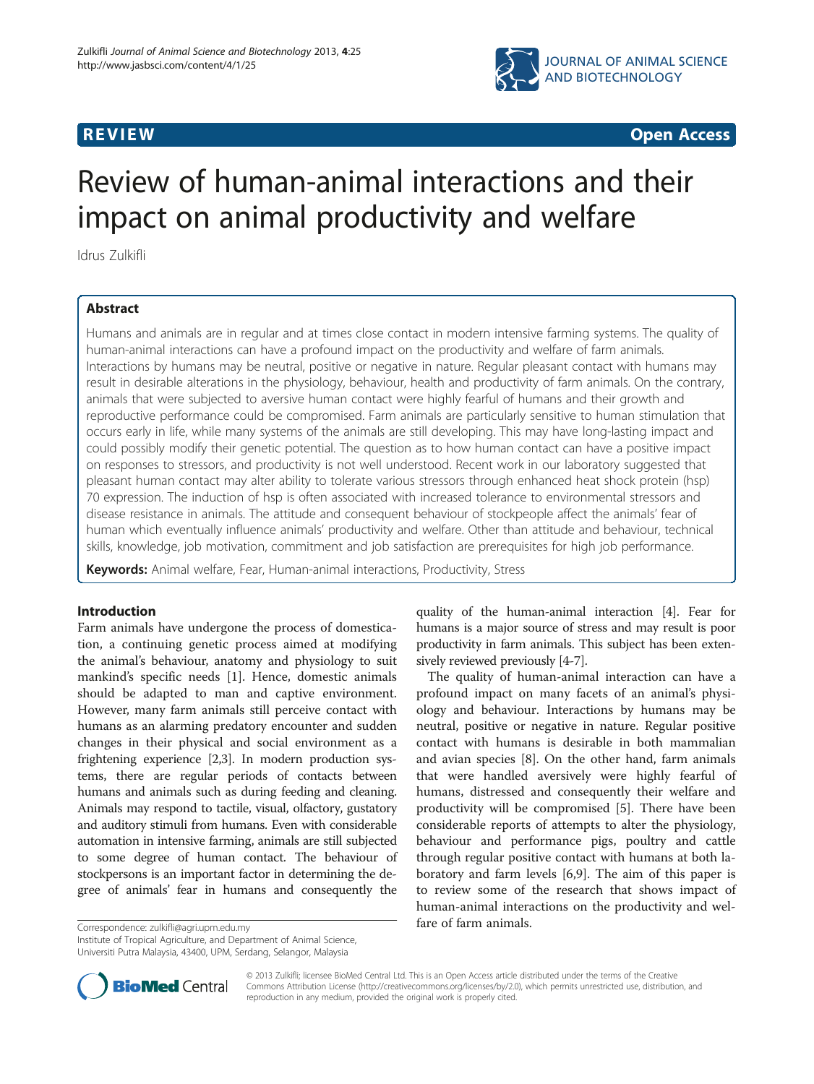

**REVIEW CONSIDERING CONSIDERING CONSIDERING CONSIDERING CONSIDERING CONSIDERING CONSIDERING CONSIDERING CONSIDERING CONSIDERING CONSIDERING CONSIDERING CONSIDERING CONSIDERING CONSIDERING CONSIDERING CONSIDERING CONSIDER** 

# Review of human-animal interactions and their impact on animal productivity and welfare

Idrus Zulkifli

# Abstract

Humans and animals are in regular and at times close contact in modern intensive farming systems. The quality of human-animal interactions can have a profound impact on the productivity and welfare of farm animals. Interactions by humans may be neutral, positive or negative in nature. Regular pleasant contact with humans may result in desirable alterations in the physiology, behaviour, health and productivity of farm animals. On the contrary, animals that were subjected to aversive human contact were highly fearful of humans and their growth and reproductive performance could be compromised. Farm animals are particularly sensitive to human stimulation that occurs early in life, while many systems of the animals are still developing. This may have long-lasting impact and could possibly modify their genetic potential. The question as to how human contact can have a positive impact on responses to stressors, and productivity is not well understood. Recent work in our laboratory suggested that pleasant human contact may alter ability to tolerate various stressors through enhanced heat shock protein (hsp) 70 expression. The induction of hsp is often associated with increased tolerance to environmental stressors and disease resistance in animals. The attitude and consequent behaviour of stockpeople affect the animals' fear of human which eventually influence animals' productivity and welfare. Other than attitude and behaviour, technical skills, knowledge, job motivation, commitment and job satisfaction are prerequisites for high job performance.

Keywords: Animal welfare, Fear, Human-animal interactions, Productivity, Stress

# Introduction

Farm animals have undergone the process of domestication, a continuing genetic process aimed at modifying the animal's behaviour, anatomy and physiology to suit mankind's specific needs [\[1](#page-5-0)]. Hence, domestic animals should be adapted to man and captive environment. However, many farm animals still perceive contact with humans as an alarming predatory encounter and sudden changes in their physical and social environment as a frightening experience [\[2,3\]](#page-5-0). In modern production systems, there are regular periods of contacts between humans and animals such as during feeding and cleaning. Animals may respond to tactile, visual, olfactory, gustatory and auditory stimuli from humans. Even with considerable automation in intensive farming, animals are still subjected to some degree of human contact. The behaviour of stockpersons is an important factor in determining the degree of animals' fear in humans and consequently the

quality of the human-animal interaction [\[4](#page-5-0)]. Fear for humans is a major source of stress and may result is poor productivity in farm animals. This subject has been extensively reviewed previously [\[4-7\]](#page-5-0).

The quality of human-animal interaction can have a profound impact on many facets of an animal's physiology and behaviour. Interactions by humans may be neutral, positive or negative in nature. Regular positive contact with humans is desirable in both mammalian and avian species [\[8](#page-5-0)]. On the other hand, farm animals that were handled aversively were highly fearful of humans, distressed and consequently their welfare and productivity will be compromised [[5\]](#page-5-0). There have been considerable reports of attempts to alter the physiology, behaviour and performance pigs, poultry and cattle through regular positive contact with humans at both laboratory and farm levels [[6](#page-5-0),[9\]](#page-5-0). The aim of this paper is to review some of the research that shows impact of human-animal interactions on the productivity and wel-

fare of farm animals. Correspondence: [zulkifli@agri.upm.edu.my](mailto:zulkifli@agri.upm.edu.my)

Institute of Tropical Agriculture, and Department of Animal Science, Universiti Putra Malaysia, 43400, UPM, Serdang, Selangor, Malaysia



© 2013 Zulkifli; licensee BioMed Central Ltd. This is an Open Access article distributed under the terms of the Creative Commons Attribution License [\(http://creativecommons.org/licenses/by/2.0\)](http://creativecommons.org/licenses/by/2.0), which permits unrestricted use, distribution, and reproduction in any medium, provided the original work is properly cited.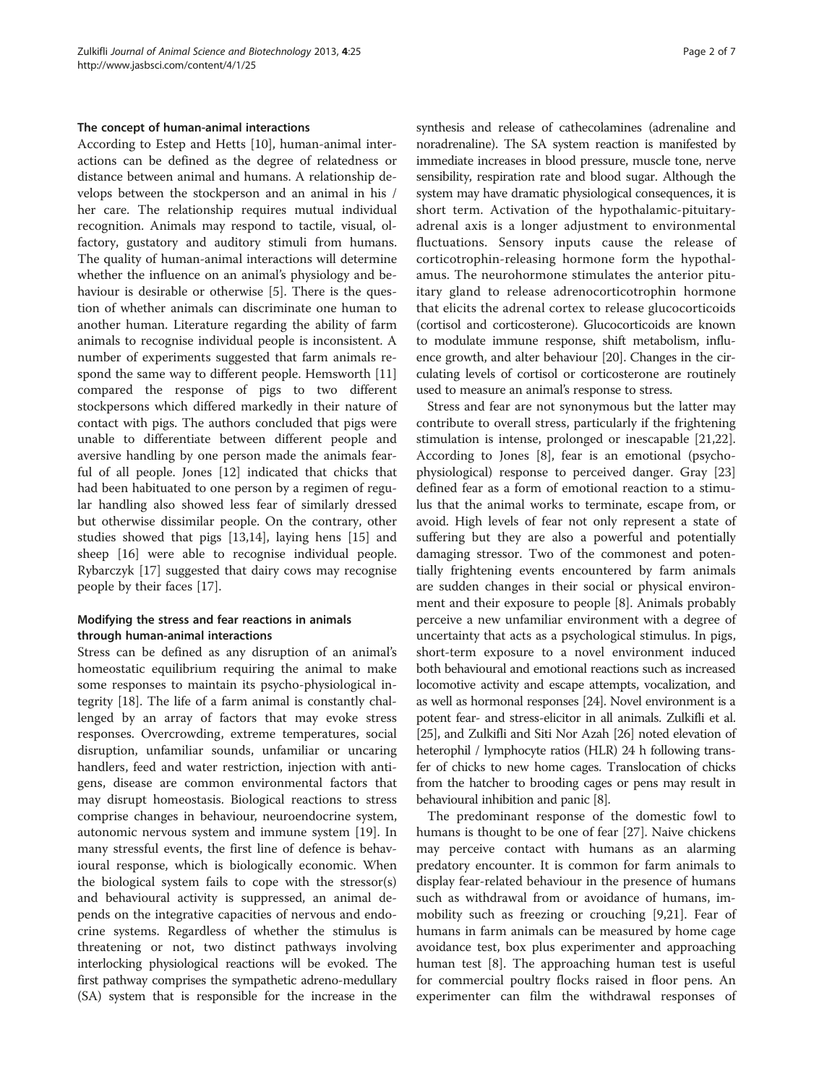#### The concept of human-animal interactions

According to Estep and Hetts [\[10](#page-5-0)], human-animal interactions can be defined as the degree of relatedness or distance between animal and humans. A relationship develops between the stockperson and an animal in his / her care. The relationship requires mutual individual recognition. Animals may respond to tactile, visual, olfactory, gustatory and auditory stimuli from humans. The quality of human-animal interactions will determine whether the influence on an animal's physiology and behaviour is desirable or otherwise [[5\]](#page-5-0). There is the question of whether animals can discriminate one human to another human. Literature regarding the ability of farm animals to recognise individual people is inconsistent. A number of experiments suggested that farm animals respond the same way to different people. Hemsworth [[11](#page-5-0)] compared the response of pigs to two different stockpersons which differed markedly in their nature of contact with pigs. The authors concluded that pigs were unable to differentiate between different people and aversive handling by one person made the animals fearful of all people. Jones [\[12](#page-5-0)] indicated that chicks that had been habituated to one person by a regimen of regular handling also showed less fear of similarly dressed but otherwise dissimilar people. On the contrary, other studies showed that pigs [\[13,14\]](#page-5-0), laying hens [[15\]](#page-5-0) and sheep [\[16\]](#page-5-0) were able to recognise individual people. Rybarczyk [[17\]](#page-5-0) suggested that dairy cows may recognise people by their faces [[17\]](#page-5-0).

#### Modifying the stress and fear reactions in animals through human-animal interactions

Stress can be defined as any disruption of an animal's homeostatic equilibrium requiring the animal to make some responses to maintain its psycho-physiological integrity [\[18](#page-5-0)]. The life of a farm animal is constantly challenged by an array of factors that may evoke stress responses. Overcrowding, extreme temperatures, social disruption, unfamiliar sounds, unfamiliar or uncaring handlers, feed and water restriction, injection with antigens, disease are common environmental factors that may disrupt homeostasis. Biological reactions to stress comprise changes in behaviour, neuroendocrine system, autonomic nervous system and immune system [[19\]](#page-5-0). In many stressful events, the first line of defence is behavioural response, which is biologically economic. When the biological system fails to cope with the stressor(s) and behavioural activity is suppressed, an animal depends on the integrative capacities of nervous and endocrine systems. Regardless of whether the stimulus is threatening or not, two distinct pathways involving interlocking physiological reactions will be evoked. The first pathway comprises the sympathetic adreno-medullary (SA) system that is responsible for the increase in the

synthesis and release of cathecolamines (adrenaline and noradrenaline). The SA system reaction is manifested by immediate increases in blood pressure, muscle tone, nerve sensibility, respiration rate and blood sugar. Although the system may have dramatic physiological consequences, it is short term. Activation of the hypothalamic-pituitaryadrenal axis is a longer adjustment to environmental fluctuations. Sensory inputs cause the release of corticotrophin-releasing hormone form the hypothalamus. The neurohormone stimulates the anterior pituitary gland to release adrenocorticotrophin hormone that elicits the adrenal cortex to release glucocorticoids (cortisol and corticosterone). Glucocorticoids are known to modulate immune response, shift metabolism, influence growth, and alter behaviour [\[20](#page-5-0)]. Changes in the circulating levels of cortisol or corticosterone are routinely used to measure an animal's response to stress.

Stress and fear are not synonymous but the latter may contribute to overall stress, particularly if the frightening stimulation is intense, prolonged or inescapable [\[21,22](#page-5-0)]. According to Jones [[8](#page-5-0)], fear is an emotional (psychophysiological) response to perceived danger. Gray [[23](#page-5-0)] defined fear as a form of emotional reaction to a stimulus that the animal works to terminate, escape from, or avoid. High levels of fear not only represent a state of suffering but they are also a powerful and potentially damaging stressor. Two of the commonest and potentially frightening events encountered by farm animals are sudden changes in their social or physical environment and their exposure to people [[8\]](#page-5-0). Animals probably perceive a new unfamiliar environment with a degree of uncertainty that acts as a psychological stimulus. In pigs, short-term exposure to a novel environment induced both behavioural and emotional reactions such as increased locomotive activity and escape attempts, vocalization, and as well as hormonal responses [\[24\]](#page-5-0). Novel environment is a potent fear- and stress-elicitor in all animals. Zulkifli et al. [[25](#page-5-0)], and Zulkifli and Siti Nor Azah [\[26](#page-5-0)] noted elevation of heterophil / lymphocyte ratios (HLR) 24 h following transfer of chicks to new home cages. Translocation of chicks from the hatcher to brooding cages or pens may result in behavioural inhibition and panic [\[8\]](#page-5-0).

The predominant response of the domestic fowl to humans is thought to be one of fear [[27\]](#page-5-0). Naive chickens may perceive contact with humans as an alarming predatory encounter. It is common for farm animals to display fear-related behaviour in the presence of humans such as withdrawal from or avoidance of humans, immobility such as freezing or crouching [[9,21\]](#page-5-0). Fear of humans in farm animals can be measured by home cage avoidance test, box plus experimenter and approaching human test [\[8](#page-5-0)]. The approaching human test is useful for commercial poultry flocks raised in floor pens. An experimenter can film the withdrawal responses of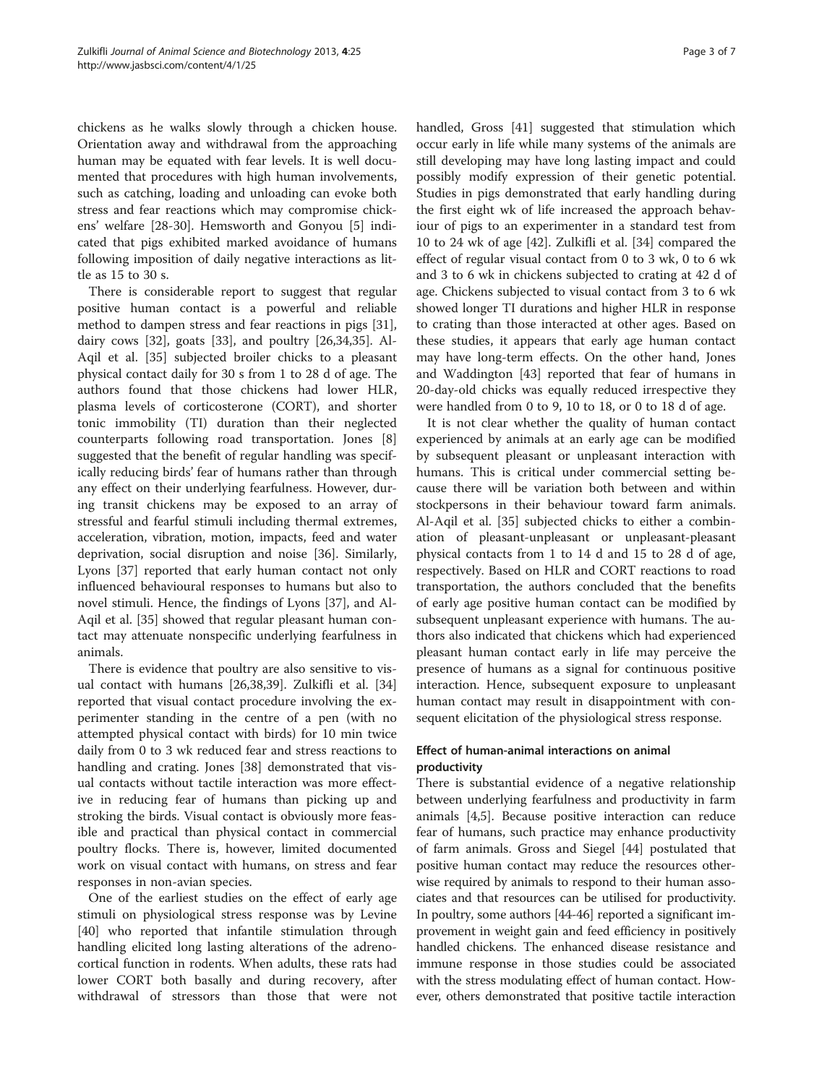chickens as he walks slowly through a chicken house. Orientation away and withdrawal from the approaching human may be equated with fear levels. It is well documented that procedures with high human involvements, such as catching, loading and unloading can evoke both stress and fear reactions which may compromise chickens' welfare [\[28](#page-5-0)-[30\]](#page-5-0). Hemsworth and Gonyou [[5\]](#page-5-0) indicated that pigs exhibited marked avoidance of humans following imposition of daily negative interactions as little as 15 to 30 s.

There is considerable report to suggest that regular positive human contact is a powerful and reliable method to dampen stress and fear reactions in pigs [\[31](#page-5-0)], dairy cows [\[32\]](#page-5-0), goats [[33\]](#page-5-0), and poultry [[26,34,35\]](#page-5-0). Al-Aqil et al. [\[35](#page-5-0)] subjected broiler chicks to a pleasant physical contact daily for 30 s from 1 to 28 d of age. The authors found that those chickens had lower HLR, plasma levels of corticosterone (CORT), and shorter tonic immobility (TI) duration than their neglected counterparts following road transportation. Jones [\[8](#page-5-0)] suggested that the benefit of regular handling was specifically reducing birds' fear of humans rather than through any effect on their underlying fearfulness. However, during transit chickens may be exposed to an array of stressful and fearful stimuli including thermal extremes, acceleration, vibration, motion, impacts, feed and water deprivation, social disruption and noise [[36\]](#page-5-0). Similarly, Lyons [\[37](#page-5-0)] reported that early human contact not only influenced behavioural responses to humans but also to novel stimuli. Hence, the findings of Lyons [[37\]](#page-5-0), and Al-Aqil et al. [\[35\]](#page-5-0) showed that regular pleasant human contact may attenuate nonspecific underlying fearfulness in animals.

There is evidence that poultry are also sensitive to visual contact with humans [[26,38,39\]](#page-5-0). Zulkifli et al. [[34](#page-5-0)] reported that visual contact procedure involving the experimenter standing in the centre of a pen (with no attempted physical contact with birds) for 10 min twice daily from 0 to 3 wk reduced fear and stress reactions to handling and crating. Jones [[38\]](#page-5-0) demonstrated that visual contacts without tactile interaction was more effective in reducing fear of humans than picking up and stroking the birds. Visual contact is obviously more feasible and practical than physical contact in commercial poultry flocks. There is, however, limited documented work on visual contact with humans, on stress and fear responses in non-avian species.

One of the earliest studies on the effect of early age stimuli on physiological stress response was by Levine [[40\]](#page-5-0) who reported that infantile stimulation through handling elicited long lasting alterations of the adrenocortical function in rodents. When adults, these rats had lower CORT both basally and during recovery, after withdrawal of stressors than those that were not handled, Gross [\[41](#page-5-0)] suggested that stimulation which occur early in life while many systems of the animals are still developing may have long lasting impact and could possibly modify expression of their genetic potential. Studies in pigs demonstrated that early handling during the first eight wk of life increased the approach behaviour of pigs to an experimenter in a standard test from 10 to 24 wk of age [\[42](#page-5-0)]. Zulkifli et al. [[34](#page-5-0)] compared the effect of regular visual contact from 0 to 3 wk, 0 to 6 wk and 3 to 6 wk in chickens subjected to crating at 42 d of age. Chickens subjected to visual contact from 3 to 6 wk showed longer TI durations and higher HLR in response to crating than those interacted at other ages. Based on these studies, it appears that early age human contact may have long-term effects. On the other hand, Jones and Waddington [\[43](#page-5-0)] reported that fear of humans in 20-day-old chicks was equally reduced irrespective they were handled from 0 to 9, 10 to 18, or 0 to 18 d of age.

It is not clear whether the quality of human contact experienced by animals at an early age can be modified by subsequent pleasant or unpleasant interaction with humans. This is critical under commercial setting because there will be variation both between and within stockpersons in their behaviour toward farm animals. Al-Aqil et al. [\[35\]](#page-5-0) subjected chicks to either a combination of pleasant-unpleasant or unpleasant-pleasant physical contacts from 1 to 14 d and 15 to 28 d of age, respectively. Based on HLR and CORT reactions to road transportation, the authors concluded that the benefits of early age positive human contact can be modified by subsequent unpleasant experience with humans. The authors also indicated that chickens which had experienced pleasant human contact early in life may perceive the presence of humans as a signal for continuous positive interaction. Hence, subsequent exposure to unpleasant human contact may result in disappointment with consequent elicitation of the physiological stress response.

## Effect of human-animal interactions on animal productivity

There is substantial evidence of a negative relationship between underlying fearfulness and productivity in farm animals [[4](#page-5-0),[5\]](#page-5-0). Because positive interaction can reduce fear of humans, such practice may enhance productivity of farm animals. Gross and Siegel [\[44\]](#page-5-0) postulated that positive human contact may reduce the resources otherwise required by animals to respond to their human associates and that resources can be utilised for productivity. In poultry, some authors [[44-46\]](#page-5-0) reported a significant improvement in weight gain and feed efficiency in positively handled chickens. The enhanced disease resistance and immune response in those studies could be associated with the stress modulating effect of human contact. However, others demonstrated that positive tactile interaction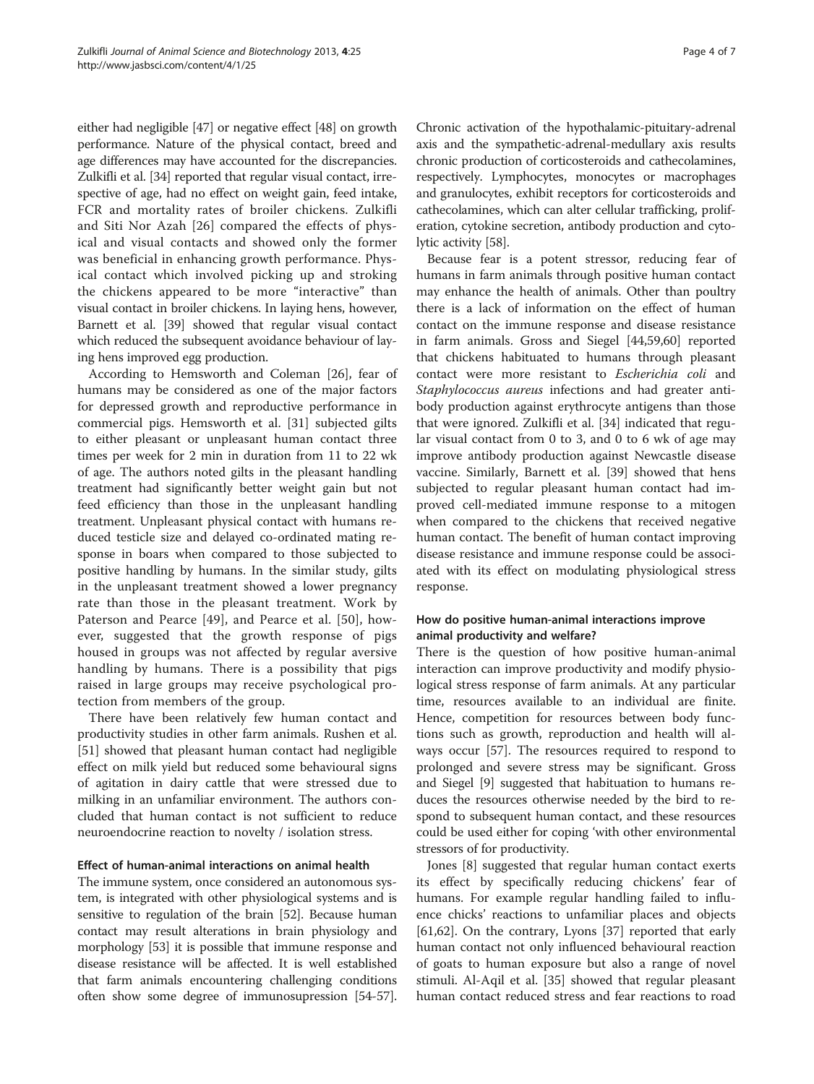either had negligible [[47](#page-6-0)] or negative effect [[48](#page-6-0)] on growth performance. Nature of the physical contact, breed and age differences may have accounted for the discrepancies. Zulkifli et al. [\[34](#page-5-0)] reported that regular visual contact, irrespective of age, had no effect on weight gain, feed intake, FCR and mortality rates of broiler chickens. Zulkifli and Siti Nor Azah [[26\]](#page-5-0) compared the effects of physical and visual contacts and showed only the former was beneficial in enhancing growth performance. Physical contact which involved picking up and stroking the chickens appeared to be more "interactive" than visual contact in broiler chickens. In laying hens, however, Barnett et al. [[39](#page-5-0)] showed that regular visual contact which reduced the subsequent avoidance behaviour of laying hens improved egg production.

According to Hemsworth and Coleman [\[26](#page-5-0)], fear of humans may be considered as one of the major factors for depressed growth and reproductive performance in commercial pigs. Hemsworth et al. [\[31](#page-5-0)] subjected gilts to either pleasant or unpleasant human contact three times per week for 2 min in duration from 11 to 22 wk of age. The authors noted gilts in the pleasant handling treatment had significantly better weight gain but not feed efficiency than those in the unpleasant handling treatment. Unpleasant physical contact with humans reduced testicle size and delayed co-ordinated mating response in boars when compared to those subjected to positive handling by humans. In the similar study, gilts in the unpleasant treatment showed a lower pregnancy rate than those in the pleasant treatment. Work by Paterson and Pearce [\[49](#page-6-0)], and Pearce et al. [[50\]](#page-6-0), however, suggested that the growth response of pigs housed in groups was not affected by regular aversive handling by humans. There is a possibility that pigs raised in large groups may receive psychological protection from members of the group.

There have been relatively few human contact and productivity studies in other farm animals. Rushen et al. [[51\]](#page-6-0) showed that pleasant human contact had negligible effect on milk yield but reduced some behavioural signs of agitation in dairy cattle that were stressed due to milking in an unfamiliar environment. The authors concluded that human contact is not sufficient to reduce neuroendocrine reaction to novelty / isolation stress.

#### Effect of human-animal interactions on animal health

The immune system, once considered an autonomous system, is integrated with other physiological systems and is sensitive to regulation of the brain [\[52](#page-6-0)]. Because human contact may result alterations in brain physiology and morphology [[53](#page-6-0)] it is possible that immune response and disease resistance will be affected. It is well established that farm animals encountering challenging conditions often show some degree of immunosupression [[54](#page-6-0)-[57](#page-6-0)].

Chronic activation of the hypothalamic-pituitary-adrenal axis and the sympathetic-adrenal-medullary axis results chronic production of corticosteroids and cathecolamines, respectively. Lymphocytes, monocytes or macrophages and granulocytes, exhibit receptors for corticosteroids and cathecolamines, which can alter cellular trafficking, proliferation, cytokine secretion, antibody production and cytolytic activity [\[58\]](#page-6-0).

Because fear is a potent stressor, reducing fear of humans in farm animals through positive human contact may enhance the health of animals. Other than poultry there is a lack of information on the effect of human contact on the immune response and disease resistance in farm animals. Gross and Siegel [[44](#page-5-0),[59](#page-6-0),[60](#page-6-0)] reported that chickens habituated to humans through pleasant contact were more resistant to Escherichia coli and Staphylococcus aureus infections and had greater antibody production against erythrocyte antigens than those that were ignored. Zulkifli et al. [\[34](#page-5-0)] indicated that regular visual contact from 0 to 3, and 0 to 6 wk of age may improve antibody production against Newcastle disease vaccine. Similarly, Barnett et al. [[39\]](#page-5-0) showed that hens subjected to regular pleasant human contact had improved cell-mediated immune response to a mitogen when compared to the chickens that received negative human contact. The benefit of human contact improving disease resistance and immune response could be associated with its effect on modulating physiological stress response.

## How do positive human-animal interactions improve animal productivity and welfare?

There is the question of how positive human-animal interaction can improve productivity and modify physiological stress response of farm animals. At any particular time, resources available to an individual are finite. Hence, competition for resources between body functions such as growth, reproduction and health will always occur [[57\]](#page-6-0). The resources required to respond to prolonged and severe stress may be significant. Gross and Siegel [\[9\]](#page-5-0) suggested that habituation to humans reduces the resources otherwise needed by the bird to respond to subsequent human contact, and these resources could be used either for coping 'with other environmental stressors of for productivity.

Jones [\[8](#page-5-0)] suggested that regular human contact exerts its effect by specifically reducing chickens' fear of humans. For example regular handling failed to influence chicks' reactions to unfamiliar places and objects [[61,62\]](#page-6-0). On the contrary, Lyons [[37\]](#page-5-0) reported that early human contact not only influenced behavioural reaction of goats to human exposure but also a range of novel stimuli. Al-Aqil et al. [[35\]](#page-5-0) showed that regular pleasant human contact reduced stress and fear reactions to road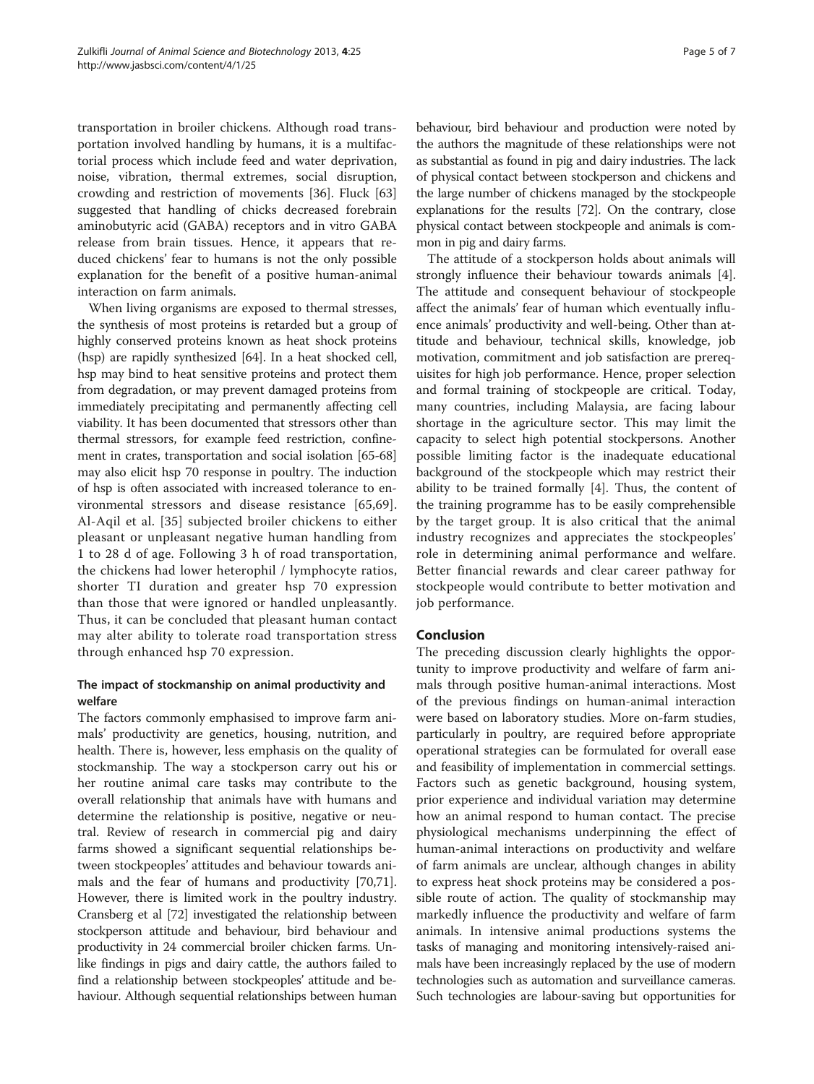transportation in broiler chickens. Although road transportation involved handling by humans, it is a multifactorial process which include feed and water deprivation, noise, vibration, thermal extremes, social disruption, crowding and restriction of movements [\[36](#page-5-0)]. Fluck [[63](#page-6-0)] suggested that handling of chicks decreased forebrain aminobutyric acid (GABA) receptors and in vitro GABA release from brain tissues. Hence, it appears that reduced chickens' fear to humans is not the only possible explanation for the benefit of a positive human-animal interaction on farm animals.

When living organisms are exposed to thermal stresses, the synthesis of most proteins is retarded but a group of highly conserved proteins known as heat shock proteins (hsp) are rapidly synthesized [[64](#page-6-0)]. In a heat shocked cell, hsp may bind to heat sensitive proteins and protect them from degradation, or may prevent damaged proteins from immediately precipitating and permanently affecting cell viability. It has been documented that stressors other than thermal stressors, for example feed restriction, confinement in crates, transportation and social isolation [[65](#page-6-0)-[68](#page-6-0)] may also elicit hsp 70 response in poultry. The induction of hsp is often associated with increased tolerance to environmental stressors and disease resistance [\[65,69](#page-6-0)]. Al-Aqil et al. [\[35\]](#page-5-0) subjected broiler chickens to either pleasant or unpleasant negative human handling from 1 to 28 d of age. Following 3 h of road transportation, the chickens had lower heterophil / lymphocyte ratios, shorter TI duration and greater hsp 70 expression than those that were ignored or handled unpleasantly. Thus, it can be concluded that pleasant human contact may alter ability to tolerate road transportation stress through enhanced hsp 70 expression.

# The impact of stockmanship on animal productivity and welfare

The factors commonly emphasised to improve farm animals' productivity are genetics, housing, nutrition, and health. There is, however, less emphasis on the quality of stockmanship. The way a stockperson carry out his or her routine animal care tasks may contribute to the overall relationship that animals have with humans and determine the relationship is positive, negative or neutral. Review of research in commercial pig and dairy farms showed a significant sequential relationships between stockpeoples' attitudes and behaviour towards animals and the fear of humans and productivity [\[70,71](#page-6-0)]. However, there is limited work in the poultry industry. Cransberg et al [\[72\]](#page-6-0) investigated the relationship between stockperson attitude and behaviour, bird behaviour and productivity in 24 commercial broiler chicken farms. Unlike findings in pigs and dairy cattle, the authors failed to find a relationship between stockpeoples' attitude and behaviour. Although sequential relationships between human behaviour, bird behaviour and production were noted by the authors the magnitude of these relationships were not as substantial as found in pig and dairy industries. The lack of physical contact between stockperson and chickens and the large number of chickens managed by the stockpeople explanations for the results [\[72\]](#page-6-0). On the contrary, close physical contact between stockpeople and animals is common in pig and dairy farms.

The attitude of a stockperson holds about animals will strongly influence their behaviour towards animals [\[4](#page-5-0)]. The attitude and consequent behaviour of stockpeople affect the animals' fear of human which eventually influence animals' productivity and well-being. Other than attitude and behaviour, technical skills, knowledge, job motivation, commitment and job satisfaction are prerequisites for high job performance. Hence, proper selection and formal training of stockpeople are critical. Today, many countries, including Malaysia, are facing labour shortage in the agriculture sector. This may limit the capacity to select high potential stockpersons. Another possible limiting factor is the inadequate educational background of the stockpeople which may restrict their ability to be trained formally [\[4](#page-5-0)]. Thus, the content of the training programme has to be easily comprehensible by the target group. It is also critical that the animal industry recognizes and appreciates the stockpeoples' role in determining animal performance and welfare. Better financial rewards and clear career pathway for stockpeople would contribute to better motivation and job performance.

## Conclusion

The preceding discussion clearly highlights the opportunity to improve productivity and welfare of farm animals through positive human-animal interactions. Most of the previous findings on human-animal interaction were based on laboratory studies. More on-farm studies, particularly in poultry, are required before appropriate operational strategies can be formulated for overall ease and feasibility of implementation in commercial settings. Factors such as genetic background, housing system, prior experience and individual variation may determine how an animal respond to human contact. The precise physiological mechanisms underpinning the effect of human-animal interactions on productivity and welfare of farm animals are unclear, although changes in ability to express heat shock proteins may be considered a possible route of action. The quality of stockmanship may markedly influence the productivity and welfare of farm animals. In intensive animal productions systems the tasks of managing and monitoring intensively-raised animals have been increasingly replaced by the use of modern technologies such as automation and surveillance cameras. Such technologies are labour-saving but opportunities for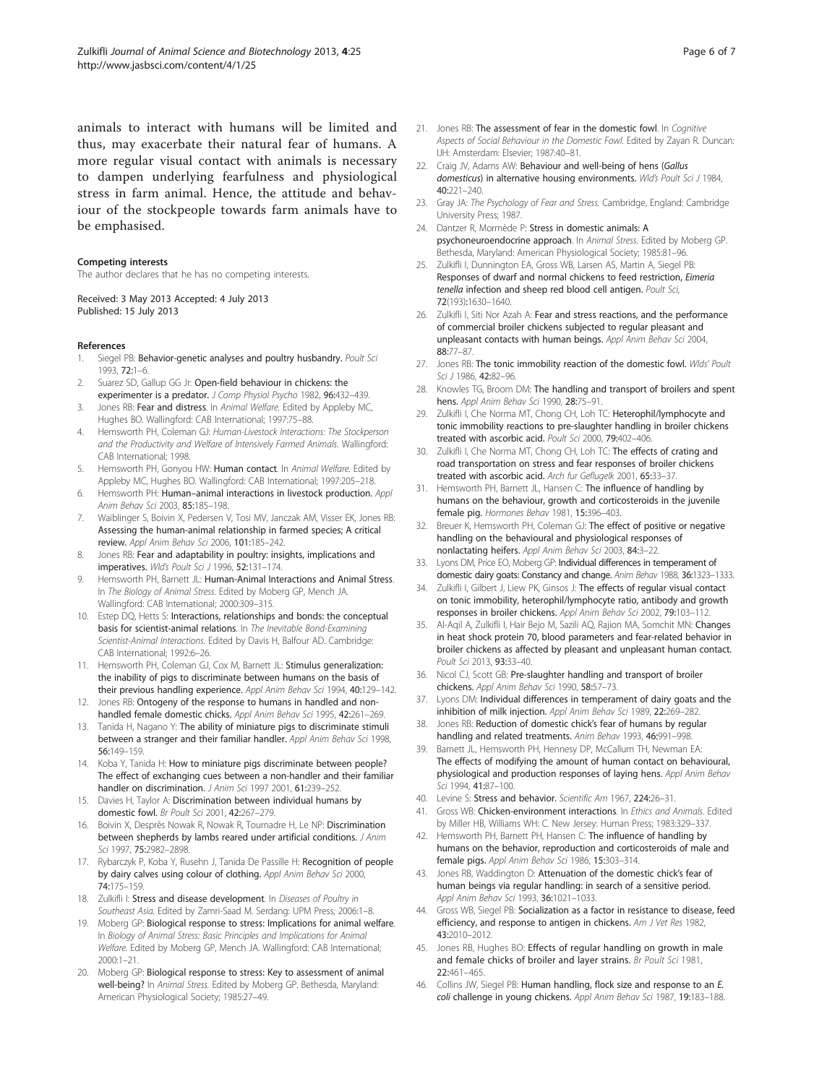<span id="page-5-0"></span>animals to interact with humans will be limited and thus, may exacerbate their natural fear of humans. A more regular visual contact with animals is necessary to dampen underlying fearfulness and physiological stress in farm animal. Hence, the attitude and behaviour of the stockpeople towards farm animals have to be emphasised.

#### Competing interests

The author declares that he has no competing interests.

#### Received: 3 May 2013 Accepted: 4 July 2013 Published: 15 July 2013

#### References

- 1. Siegel PB: Behavior-genetic analyses and poultry husbandry. Poult Sci 1993, 72:1–6.
- Suarez SD, Gallup GG Jr: Open-field behaviour in chickens: the experimenter is a predator. J Comp Physiol Psycho 1982, 96:432-439.
- 3. Jones RB: Fear and distress. In Animal Welfare. Edited by Appleby MC, Hughes BO. Wallingford: CAB International; 1997:75–88.
- 4. Hemsworth PH, Coleman GJ: Human-Livestock Interactions: The Stockperson and the Productivity and Welfare of Intensively Farmed Animals. Wallingford: CAB International; 1998.
- Hemsworth PH, Gonyou HW: Human contact. In Animal Welfare. Edited by Appleby MC, Hughes BO. Wallingford: CAB International; 1997:205–218.
- 6. Hemsworth PH: Human–animal interactions in livestock production. Appl Anim Behav Sci 2003, 85:185-198.
- 7. Waiblinger S, Boivin X, Pedersen V, Tosi MV, Janczak AM, Visser EK, Jones RB: Assessing the human-animal relationship in farmed species; A critical review. Appl Anim Behav Sci 2006, 101:185–242.
- Jones RB: Fear and adaptability in poultry: insights, implications and imperatives. Wld's Poult Sci J 1996, 52:131–174.
- 9. Hemsworth PH, Barnett JL: Human-Animal Interactions and Animal Stress. In The Biology of Animal Stress. Edited by Moberg GP, Mench JA. Wallingford: CAB International; 2000:309–315.
- 10. Estep DQ, Hetts S: Interactions, relationships and bonds: the conceptual basis for scientist-animal relations. In The Inevitable Bond-Examining Scientist-Animal Interactions. Edited by Davis H, Balfour AD. Cambridge: CAB International; 1992:6–26.
- 11. Hemsworth PH, Coleman GJ, Cox M, Barnett JL: Stimulus generalization: the inability of pigs to discriminate between humans on the basis of their previous handling experience. Appl Anim Behav Sci 1994, 40:129–142.
- 12. Jones RB: Ontogeny of the response to humans in handled and nonhandled female domestic chicks. Appl Anim Behav Sci 1995, 42:261-269
- 13. Tanida H, Nagano Y: The ability of miniature pigs to discriminate stimuli between a stranger and their familiar handler. Appl Anim Behav Sci 1998, 56:149–159.
- 14. Koba Y, Tanida H: How to miniature pigs discriminate between people? The effect of exchanging cues between a non-handler and their familiar handler on discrimination. *J Anim Sci* 1997 2001, **61:**239-252.
- Davies H, Taylor A: Discrimination between individual humans by domestic fowl. Br Poult Sci 2001, 42:267–279.
- 16. Boivin X, Desprès Nowak R, Nowak R, Tournadre H, Le NP: Discrimination between shepherds by lambs reared under artificial conditions. J Anim Sci 1997, 75:2982–2898.
- 17. Rybarczyk P, Koba Y, Rusehn J, Tanida De Passille H: Recognition of people by dairy calves using colour of clothing. Appl Anim Behav Sci 2000, 74:175–159.
- 18. Zulkifli I: Stress and disease development. In Diseases of Poultry in Southeast Asia. Edited by Zamri-Saad M. Serdang: UPM Press; 2006:1–8.
- 19. Moberg GP: Biological response to stress: Implications for animal welfare. In Biology of Animal Stress: Basic Principles and Implications for Animal Welfare. Edited by Moberg GP, Mench JA. Wallingford: CAB International; 2000:1–21.
- 20. Moberg GP: Biological response to stress: Key to assessment of animal well-being? In Animal Stress. Edited by Moberg GP. Bethesda, Maryland: American Physiological Society; 1985:27–49.
- 
- 21. Jones RB: The assessment of fear in the domestic fowl. In Cognitive Aspects of Social Behaviour in the Domestic Fowl. Edited by Zayan R. Duncan: IJH: Amsterdam: Elsevier; 1987:40–81.
- 22. Craig JV, Adams AW: Behaviour and well-being of hens (Gallus domesticus) in alternative housing environments. Wld's Poult Sci J 1984, 40:221–240.
- 23. Gray JA: The Psychology of Fear and Stress. Cambridge, England: Cambridge University Press; 1987.
- 24. Dantzer R, Mormède P: Stress in domestic animals: A psychoneuroendocrine approach. In Animal Stress. Edited by Moberg GP. Bethesda, Maryland: American Physiological Society; 1985:81–96.
- 25. Zulkifli I, Dunnington EA, Gross WB, Larsen AS, Martin A, Siegel PB: Responses of dwarf and normal chickens to feed restriction, Eimeria tenella infection and sheep red blood cell antigen. Poult Sci, 72(193):1630–1640.
- 26. Zulkifli I, Siti Nor Azah A: Fear and stress reactions, and the performance of commercial broiler chickens subjected to regular pleasant and unpleasant contacts with human beings. Appl Anim Behav Sci 2004, 88:77–87.
- 27. Jones RB: The tonic immobility reaction of the domestic fowl. Wlds' Poult Sci J 1986, 42:82–96.
- 28. Knowles TG, Broom DM: The handling and transport of broilers and spent hens. Appl Anim Behav Sci 1990, 28:75-91.
- 29. Zulkifli I, Che Norma MT, Chong CH, Loh TC: Heterophil/lymphocyte and tonic immobility reactions to pre-slaughter handling in broiler chickens treated with ascorbic acid. Poult Sci 2000, 79:402–406.
- 30. Zulkifli I, Che Norma MT, Chong CH, Loh TC: The effects of crating and road transportation on stress and fear responses of broiler chickens treated with ascorbic acid. Arch fur Geflugelk 2001, 65:33–37.
- 31. Hemsworth PH, Barnett JL, Hansen C: The influence of handling by humans on the behaviour, growth and corticosteroids in the juvenile female pig. Hormones Behav 1981, 15:396–403.
- 32. Breuer K, Hemsworth PH, Coleman GJ: The effect of positive or negative handling on the behavioural and physiological responses of nonlactating heifers. Appl Anim Behav Sci 2003, 84:3–22.
- 33. Lyons DM, Price EO, Moberg GP: Individual differences in temperament of domestic dairy goats: Constancy and change. Anim Behav 1988, 36:1323–1333.
- 34. Zulkifli I, Gilbert J, Liew PK, Ginsos J: The effects of regular visual contact on tonic immobility, heterophil/lymphocyte ratio, antibody and growth responses in broiler chickens. Appl Anim Behav Sci 2002, 79:103–112.
- 35. Al-Aqil A, Zulkifli I, Hair Bejo M, Sazili AQ, Rajion MA, Somchit MN: Changes in heat shock protein 70, blood parameters and fear-related behavior in broiler chickens as affected by pleasant and unpleasant human contact. Poult Sci 2013, 93:33–40.
- 36. Nicol CJ, Scott GB: Pre-slaughter handling and transport of broiler chickens. Appl Anim Behav Sci 1990, 58:57–73.
- 37. Lyons DM: Individual differences in temperament of dairy goats and the inhibition of milk injection. Appl Anim Behav Sci 1989, 22:269–282.
- 38. Jones RB: Reduction of domestic chick's fear of humans by regular handling and related treatments. Anim Behav 1993, 46:991-998.
- 39. Barnett JL, Hemsworth PH, Hennesy DP, McCallum TH, Newman EA: The effects of modifying the amount of human contact on behavioural, physiological and production responses of laying hens. Appl Anim Behav Sci 1994, 41:87–100.
- 40. Levine S: Stress and behavior. Scientific Am 1967, 224:26-31.
- 41. Gross WB: Chicken-environment interactions. In Ethics and Animals. Edited by Miller HB, Williams WH: C. New Jersey: Human Press; 1983:329–337.
- 42. Hemsworth PH, Barnett PH, Hansen C: The influence of handling by humans on the behavior, reproduction and corticosteroids of male and female pigs. Appl Anim Behav Sci 1986, 15:303–314.
- 43. Jones RB, Waddington D: Attenuation of the domestic chick's fear of human beings via regular handling: in search of a sensitive period. Appl Anim Behav Sci 1993, 36:1021–1033.
- 44. Gross WB, Siegel PB: Socialization as a factor in resistance to disease, feed efficiency, and response to antigen in chickens. Am J Vet Res 1982, 43:2010–2012.
- 45. Jones RB, Hughes BO: Effects of regular handling on growth in male and female chicks of broiler and layer strains. Br Poult Sci 1981, 22:461–465.
- 46. Collins JW, Siegel PB: Human handling, flock size and response to an E. coli challenge in young chickens. Appl Anim Behav Sci 1987, 19:183-188.